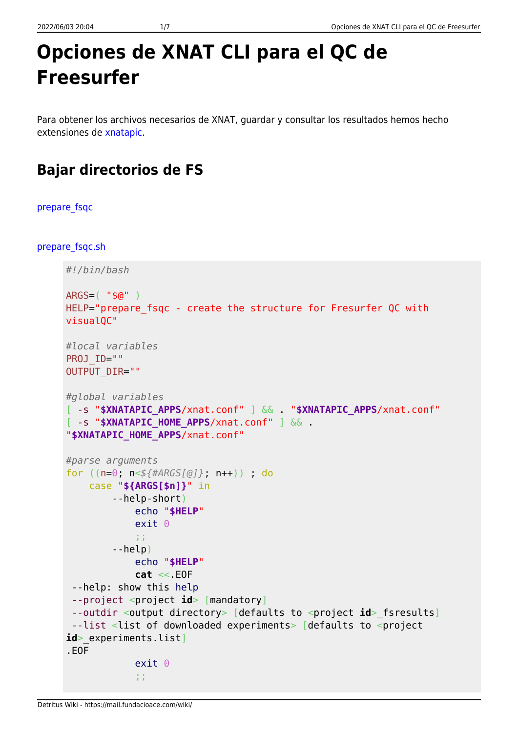## Opciones de XNAT CLI para el QC de **Freesurfer**

Para obtener los archivos necesarios de XNAT, quardar y consultar los resultados hemos hecho extensiones de xnatapic.

## **Bajar directorios de FS**

prepare fsgc

prepare\_fsqc.sh

```
#!/bin/bash
ARGS = ( "$@" )HELP="prepare_fsqc - create the structure for Fresurfer QC with
visualOC"
#local variables
PROJ ID=""
OUTPUT_DIR=""
#global variables
[ -s "$XNATAPIC_APPS/xnat.conf" ] && "$XNATAPIC_APPS/xnat.conf"
[ -s "$XNATAPIC HOME APPS/xnat.conf" ] &&
"$XNATAPIC HOME APPS/xnat.conf"
#parse arguments
for ((n=0; n<\frac{1}{4}A RGS[0]); n++) ; do
    case "${ARGS[$n]}" in
        --help-short)
             echo "$HELP"
             exit<sub>0</sub>\frac{1}{2}-help)
             echo "$HELP"
             cat \ll E0F--help: show this help
 --project <project id> [mandatory]
 --outdir <output directory> [defaults to <project id> fsresults]
 --list <list of downloaded experiments> [defaults to <project
id> experiments.list]
EOFexit<sub>0</sub>\ddot{ } ;
```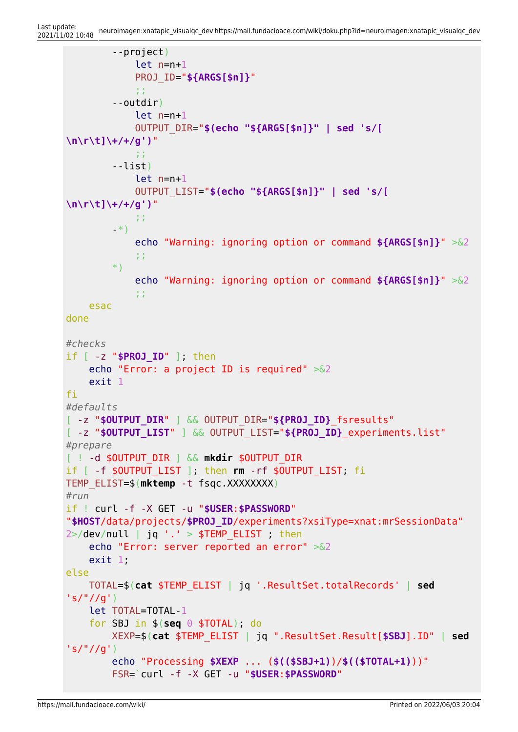```
 --project)
              let n=n+1
              PROJ_ID="${ARGS[$n]}"
              ;;
          --outdir)
              let n=n+1
              OUTPUT_DIR="$(echo "${ARGS[$n]}" | sed 's/[
\n\r\t]\+/+/g')"
\mathbb{Z}^2 ; \mathbb{Z}^2 ; \mathbb{Z}^2 ; \mathbb{Z}^2 ; \mathbb{Z}^2 ; \mathbb{Z}^2 ;
          --list)
              let n=n+1
              OUTPUT_LIST="$(echo "${ARGS[$n]}" | sed 's/[
\n\r\t]\+/+/g')"
              ;;
          -*)
              echo "Warning: ignoring option or command ${ARGS[$n]}" >&2
              ;;
          *)
              echo "Warning: ignoring option or command ${ARGS[$n]}" >&2
              ;;
     esac
done
#checks
if [ -z "$PROJ_ID" ]; then
     echo "Error: a project ID is required" >&2
     exit 1
fi
#defaults
[ -z "$OUTPUT_DIR" ] && OUTPUT_DIR="${PROJ_ID}_fsresults"
[ -z "$OUTPUT_LIST" ] && OUTPUT_LIST="${PROJ_ID}_experiments.list"
#prepare
[ ! -d $OUTPUT_DIR ] && mkdir $OUTPUT_DIR
if [ -f $OUTPUT_LIST ]; then rm -rf $OUTPUT_LIST; fi
TEMP_ELIST=$(mktemp -t fsqc.XXXXXXXX)
#run
if ! curl -f -X GET -u "$USER:$PASSWORD"
"$HOST/data/projects/$PROJ_ID/experiments?xsiType=xnat:mrSessionData"
2>/dev/null | jq '.' > $TEMP ELIST ; then
     echo "Error: server reported an error" >&2
     exit 1;
else
     TOTAL=$(cat $TEMP_ELIST | jq '.ResultSet.totalRecords' | sed
's/"//g')
     let TOTAL=TOTAL-1
     for SBJ in $(seq 0 $TOTAL); do
         XEXP=$(cat $TEMP_ELIST | jq ".ResultSet.Result[$SBJ].ID" | sed
's/"//g')
         echo "Processing $XEXP ... ($(($SBJ+1))/$(($TOTAL+1)))"
          FSR=`curl -f -X GET -u "$USER:$PASSWORD"
```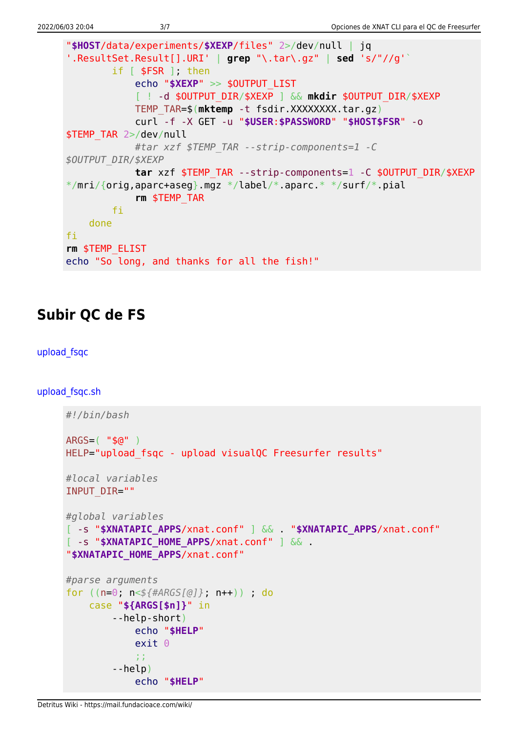```
"$HOST/data/experiments/$XEXP/files" 2>/dev/null | jq
'.ResultSet.Result[].URI' | grep "\.tar\.gz" | sed 's/"//g'`
        if [ $FSR ], then
            echo "$XEXP" >> $0UTPUT LIST
            [ ! -d $OUTPUT DIR/$XEXP ] && mkdir $OUTPUT_DIR/$XEXP
            TEMP TAR=$(mktemp -t fsdir.XXXXXXXX.tar.gz)
            curl -f -X GET -u "$USER:$PASSWORD" "$HOST$FSR" -0
$TEMP TAR 2>/dev/null
            #tar xzf $TEMP TAR --strip-components=1 -C
$OUTPUT DIR/$XEXP
            tar xzf $TEMP TAR --strip-components=1 -C $0UTPUT DIR/$XEXP
*/mri/\{orig, apare+aseq\}.mgz */label/*.aparc.* /surf/*.pial
            rm $TEMP TAR
        fi
   done
fi
rm $TEMP ELIST
echo "So long, and thanks for all the fish!"
```
## **Subir QC de FS**

```
upload fsqc
```
upload fsqc.sh

```
#!/bin/bash
ARGS = ( "$@" )HELP="upload fsgc - upload visualQC Freesurfer results"
#local variables
INPUT DIR=""
#global variables
[ -s "$XNATAPIC APPS/xnat.conf" ] && "$XNATAPIC APPS/xnat.conf"
[ -s "$XNATAPIC HOME APPS/xnat.conf" ] && .
"$XNATAPIC HOME APPS/xnat.conf"
#parse arguments
for ((n=0; n<\frac{\epsilon}{4}4ARGS[@]; n++) ); do
    case "${ARGS[$n]}" in
        --help-short)
             echo "$HELP"
             exit<sub>0</sub>ΩÝ.
         -help)
             echo "$HELP"
```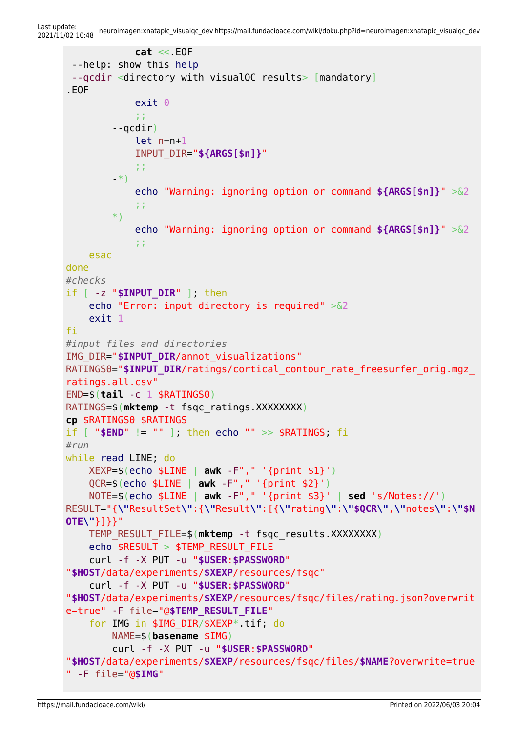```
 cat <<.EOF
  --help: show this help
 --qcdir <directory with visualQC results> [mandatory]
.EOF
              exit 0
\mathbb{Z}^2 ; \mathbb{Z}^2 ; \mathbb{Z}^2 ; \mathbb{Z}^2 ; \mathbb{Z}^2 ; \mathbb{Z}^2 ;
         --qcdir)
              let n=n+1
              INPUT_DIR="${ARGS[$n]}"
              ;;
          -*)
              echo "Warning: ignoring option or command ${ARGS[$n]}" >&2
              ;;
         *)
              echo "Warning: ignoring option or command ${ARGS[$n]}" >&2
              ;;
     esac
done
#checks
if [ -z "$INPUT_DIR" ]; then
     echo "Error: input directory is required" >&2
     exit 1
fi
#input files and directories
IMG_DIR="$INPUT_DIR/annot_visualizations"
RATINGS0="$INPUT DIR/ratings/cortical contour rate freesurfer orig.mgz
ratings.all.csv"
END=$(tail -c 1 $RATINGS0)
RATINGS=$(mktemp -t fsqc_ratings.XXXXXXXX)
cp $RATINGS0 $RATINGS
if [ "$END" != "" ]; then echo "" >> $RATINGS; fi
#run
while read LINE; do
     XEXP=$(echo $LINE | awk -F"," '{print $1}')
     QCR=$(echo $LINE | awk -F"," '{print $2}')
     NOTE=$(echo $LINE | awk -F"," '{print $3}' | sed 's/Notes://')
RESULT="{\"ResultSet\":{\"Result\":[{\"rating\":\"$QCR\",\"notes\":\"$N
OTE\"}]}}"
     TEMP_RESULT_FILE=$(mktemp -t fsqc_results.XXXXXXXX)
     echo $RESULT > $TEMP_RESULT_FILE
     curl -f -X PUT -u "$USER:$PASSWORD"
"$HOST/data/experiments/$XEXP/resources/fsqc"
     curl -f -X PUT -u "$USER:$PASSWORD"
"$HOST/data/experiments/$XEXP/resources/fsqc/files/rating.json?overwrit
e=true" -F file="@$TEMP_RESULT_FILE"
     for IMG in $IMG_DIR/$XEXP*.tif; do
         NAME=$(basename $IMG)
         curl -f -X PUT -u "$USER:$PASSWORD"
"$HOST/data/experiments/$XEXP/resources/fsqc/files/$NAME?overwrite=true
" -F file="@$IMG"
```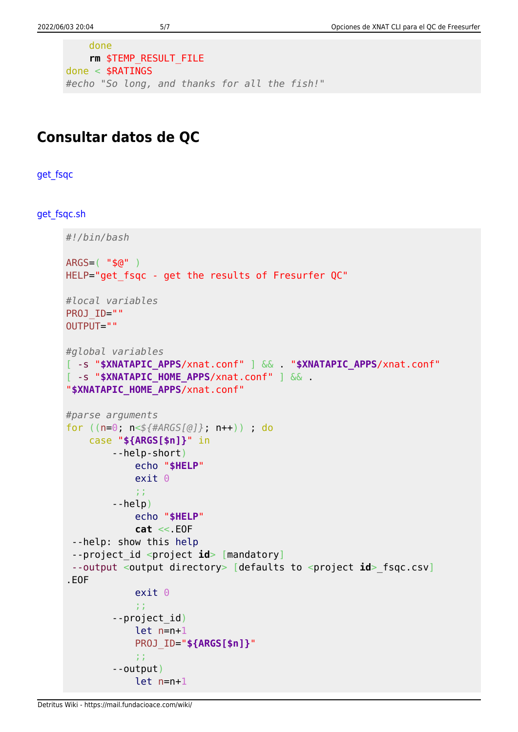```
done
    rm $TEMP_RESULT_FILE
done < $RATINGS
#echo "So long, and thanks for all the fish!"
```
## **Consultar datos de QC**

get fsgc

get fsgc.sh

```
#!/bin/bash
ARGS = ( "$a" )
HELP="get fsqc - get the results of Fresurfer QC"
#local variables
PR0J ID=""
OUTPUT=""
#global variables
[ -s "$XNATAPIC_APPS/xnat.conf" ] && . "$XNATAPIC APPS/xnat.conf"
[ -s "$XNATAPIC HOME APPS/xnat.conf" ] &&
"$XNATAPIC HOME APPS/xnat.conf"
#parse arguments
for ((n=0; n<\frac{1}{4}4ARGS[@]; n++) ; do
    case "${ARGS[$n]}" in
        -help-short)echo "$HELP"
             exit<sub>0</sub>\pm \pm-help)
             echo "$HELP"
             cat \ll E0F--help: show this help
 --project_id <project id> [mandatory]
 --output <output directory> [defaults to <project id> fsqc.csv]
EOFexit<sub>0</sub>\ddot{x}--project id)
             let n=n+1PROJ ID="${ARGS[$n]}"
             3.3^{\circ}- - output)let n=n+1
```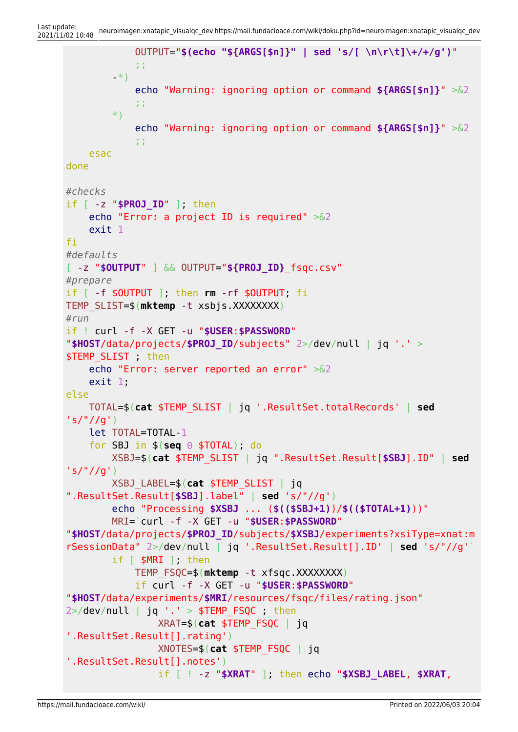```
 OUTPUT="$(echo "${ARGS[$n]}" | sed 's/[ \n\r\t]\+/+/g')"
             ;;
         -*)
             echo "Warning: ignoring option or command ${ARGS[$n]}" >&2
             ;;
         *)
             echo "Warning: ignoring option or command ${ARGS[$n]}" >&2
             ;;
    esac
done
#checks
if [ -z "$PROJ_ID" ]; then
     echo "Error: a project ID is required" >&2
     exit 1
fi
#defaults
[ -z "$OUTPUT" ] && OUTPUT="${PROJ_ID}_fsqc.csv"
#prepare
if [ -f $OUTPUT ]; then rm -rf $OUTPUT; fi
TEMP_SLIST=$(mktemp -t xsbjs.XXXXXXXX)
#run
if ! curl -f -X GET -u "$USER:$PASSWORD"
"$HOST/data/projects/$PROJ_ID/subjects" 2>/dev/null | jq '.' >
$TEMP SLIST ; then
     echo "Error: server reported an error" >&2
     exit 1;
else
    TOTAL=$(cat $TEMP_SLIST | jq '.ResultSet.totalRecords' | sed
's/"//g')
     let TOTAL=TOTAL-1
     for SBJ in $(seq 0 $TOTAL); do
         XSBJ=$(cat $TEMP_SLIST | jq ".ResultSet.Result[$SBJ].ID" | sed
's/"//g')
         XSBJ_LABEL=$(cat $TEMP_SLIST | jq
".ResultSet.Result[$SBJ].label" | sed 's/"//g')
         echo "Processing $XSBJ ... ($(($SBJ+1))/$(($TOTAL+1)))"
         MRI=`curl -f -X GET -u "$USER:$PASSWORD"
"$HOST/data/projects/$PROJ_ID/subjects/$XSBJ/experiments?xsiType=xnat:m
rSessionData" 2>/dev/null | jq '.ResultSet.Result[].ID' | sed 's/"//g'`
        if [ $MRI ]; then
             TEMP_FSQC=$(mktemp -t xfsqc.XXXXXXXX)
             if curl -f -X GET -u "$USER:$PASSWORD"
"$HOST/data/experiments/$MRI/resources/fsqc/files/rating.json"
2>/dev/null | jq '.' > $TEMP FSQC ; then
                 XRAT=$(cat $TEMP_FSQC | jq
'.ResultSet.Result[].rating')
                 XNOTES=$(cat $TEMP_FSQC | jq
'.ResultSet.Result[].notes')
                 if [ ! -z "$XRAT" ]; then echo "$XSBJ_LABEL, $XRAT,
```